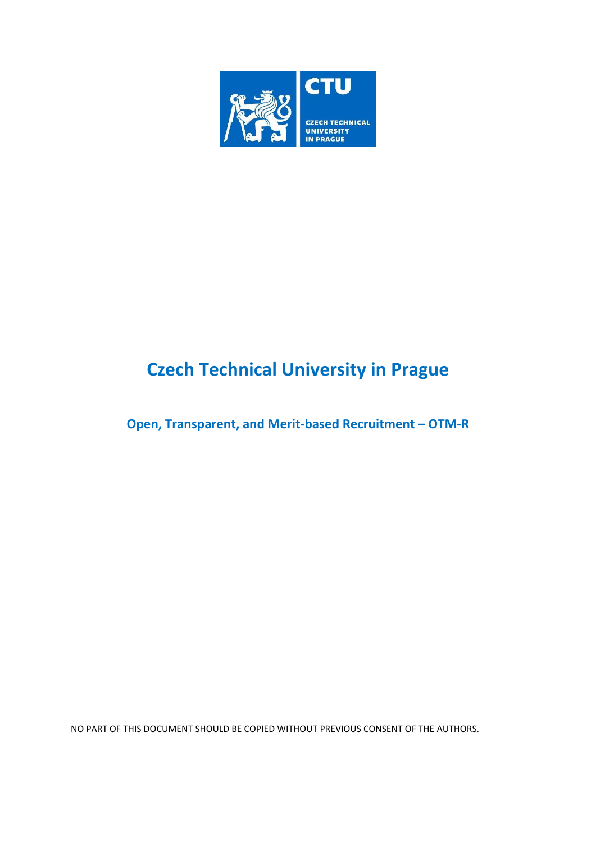

## **Czech Technical University in Prague**

**Open, Transparent, and Merit-based Recruitment – OTM-R**

NO PART OF THIS DOCUMENT SHOULD BE COPIED WITHOUT PREVIOUS CONSENT OF THE AUTHORS.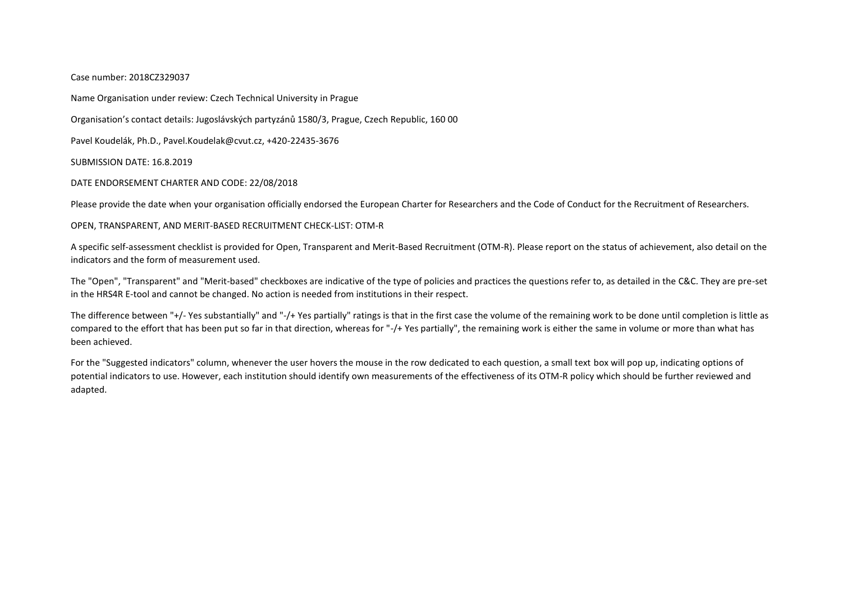## Case number: 2018CZ329037

Name Organisation under review: Czech Technical University in Prague

Organisation's contact details: Jugoslávských partyzánů 1580/3, Prague, Czech Republic, 160 00

Pavel Koudelák, Ph.D., Pavel.Koudelak@cvut.cz, +420-22435-3676

SUBMISSION DATE: 16.8.2019

## DATE ENDORSEMENT CHARTER AND CODE: 22/08/2018

Please provide the date when your organisation officially endorsed the European Charter for Researchers and the Code of Conduct for the Recruitment of Researchers.

## OPEN, TRANSPARENT, AND MERIT-BASED RECRUITMENT CHECK-LIST: OTM-R

A specific self-assessment checklist is provided for Open, Transparent and Merit-Based Recruitment (OTM-R). Please report on the status of achievement, also detail on the indicators and the form of measurement used.

The "Open", "Transparent" and "Merit-based" checkboxes are indicative of the type of policies and practices the questions refer to, as detailed in the C&C. They are pre-set in the HRS4R E-tool and cannot be changed. No action is needed from institutions in their respect.

The difference between "+/- Yes substantially" and "-/+ Yes partially" ratings is that in the first case the volume of the remaining work to be done until completion is little as compared to the effort that has been put so far in that direction, whereas for "-/+ Yes partially", the remaining work is either the same in volume or more than what has been achieved.

For the "Suggested indicators" column, whenever the user hovers the mouse in the row dedicated to each question, a small text box will pop up, indicating options of potential indicators to use. However, each institution should identify own measurements of the effectiveness of its OTM-R policy which should be further reviewed and adapted.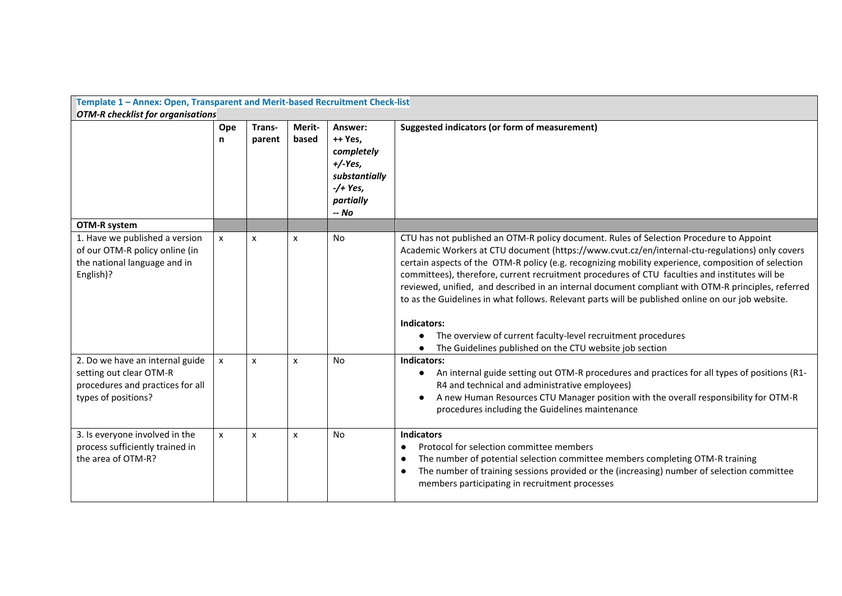| Template 1 - Annex: Open, Transparent and Merit-based Recruitment Check-list<br><b>OTM-R</b> checklist for organisations |              |                  |                 |                                                                                                     |                                                                                                                                                                                                                                                                                                                                                                                                                                                                                                                                                                                                                                                                                                                                                         |  |
|--------------------------------------------------------------------------------------------------------------------------|--------------|------------------|-----------------|-----------------------------------------------------------------------------------------------------|---------------------------------------------------------------------------------------------------------------------------------------------------------------------------------------------------------------------------------------------------------------------------------------------------------------------------------------------------------------------------------------------------------------------------------------------------------------------------------------------------------------------------------------------------------------------------------------------------------------------------------------------------------------------------------------------------------------------------------------------------------|--|
|                                                                                                                          | Ope<br>n     | Trans-<br>parent | Merit-<br>based | Answer:<br>++ Yes,<br>completely<br>$+/-Yes,$<br>substantially<br>$-$ /+ Yes,<br>partially<br>-- No | Suggested indicators (or form of measurement)                                                                                                                                                                                                                                                                                                                                                                                                                                                                                                                                                                                                                                                                                                           |  |
| OTM-R system                                                                                                             |              |                  |                 |                                                                                                     |                                                                                                                                                                                                                                                                                                                                                                                                                                                                                                                                                                                                                                                                                                                                                         |  |
| 1. Have we published a version<br>of our OTM-R policy online (in<br>the national language and in<br>English)?            | X            | X                | x               | <b>No</b>                                                                                           | CTU has not published an OTM-R policy document. Rules of Selection Procedure to Appoint<br>Academic Workers at CTU document (https://www.cvut.cz/en/internal-ctu-regulations) only covers<br>certain aspects of the OTM-R policy (e.g. recognizing mobility experience, composition of selection<br>committees), therefore, current recruitment procedures of CTU faculties and institutes will be<br>reviewed, unified, and described in an internal document compliant with OTM-R principles, referred<br>to as the Guidelines in what follows. Relevant parts will be published online on our job website.<br>Indicators:<br>The overview of current faculty-level recruitment procedures<br>The Guidelines published on the CTU website job section |  |
| 2. Do we have an internal guide<br>setting out clear OTM-R<br>procedures and practices for all<br>types of positions?    | $\mathsf{x}$ | $\mathsf{x}$     | X               | N <sub>o</sub>                                                                                      | Indicators:<br>An internal guide setting out OTM-R procedures and practices for all types of positions (R1-<br>R4 and technical and administrative employees)<br>A new Human Resources CTU Manager position with the overall responsibility for OTM-R<br>procedures including the Guidelines maintenance                                                                                                                                                                                                                                                                                                                                                                                                                                                |  |
| 3. Is everyone involved in the<br>process sufficiently trained in<br>the area of OTM-R?                                  | X            | X                | x               | <b>No</b>                                                                                           | <b>Indicators</b><br>Protocol for selection committee members<br>The number of potential selection committee members completing OTM-R training<br>The number of training sessions provided or the (increasing) number of selection committee<br>$\bullet$<br>members participating in recruitment processes                                                                                                                                                                                                                                                                                                                                                                                                                                             |  |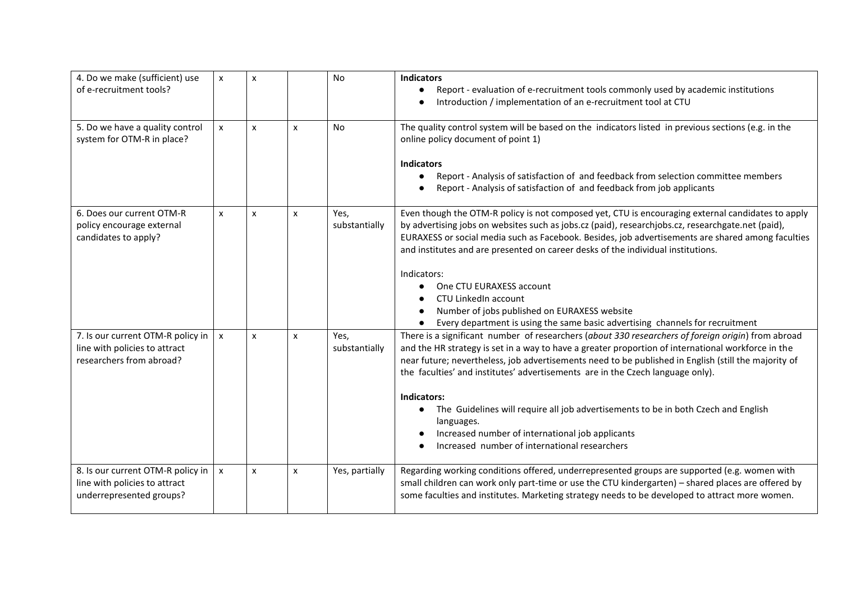| 4. Do we make (sufficient) use<br>of e-recruitment tools?                                      | x            | X              |   | <b>No</b>             | <b>Indicators</b><br>Report - evaluation of e-recruitment tools commonly used by academic institutions<br>$\bullet$<br>Introduction / implementation of an e-recruitment tool at CTU                                                                                                                                                                                                                                                                                                                                                                                                                                                    |
|------------------------------------------------------------------------------------------------|--------------|----------------|---|-----------------------|-----------------------------------------------------------------------------------------------------------------------------------------------------------------------------------------------------------------------------------------------------------------------------------------------------------------------------------------------------------------------------------------------------------------------------------------------------------------------------------------------------------------------------------------------------------------------------------------------------------------------------------------|
| 5. Do we have a quality control<br>system for OTM-R in place?                                  | $\mathsf{x}$ | $\mathsf{x}$   | X | <b>No</b>             | The quality control system will be based on the indicators listed in previous sections (e.g. in the<br>online policy document of point 1)<br><b>Indicators</b><br>Report - Analysis of satisfaction of and feedback from selection committee members<br>$\bullet$<br>Report - Analysis of satisfaction of and feedback from job applicants                                                                                                                                                                                                                                                                                              |
| 6. Does our current OTM-R<br>policy encourage external<br>candidates to apply?                 | X            | $\pmb{\times}$ | X | Yes,<br>substantially | Even though the OTM-R policy is not composed yet, CTU is encouraging external candidates to apply<br>by advertising jobs on websites such as jobs.cz (paid), researchjobs.cz, researchgate.net (paid),<br>EURAXESS or social media such as Facebook. Besides, job advertisements are shared among faculties<br>and institutes and are presented on career desks of the individual institutions.<br>Indicators:<br>One CTU EURAXESS account<br>CTU LinkedIn account<br>Number of jobs published on EURAXESS website<br>Every department is using the same basic advertising channels for recruitment                                     |
| 7. Is our current OTM-R policy in<br>line with policies to attract<br>researchers from abroad? | $\mathsf{x}$ | $\mathsf{x}$   | X | Yes,<br>substantially | There is a significant number of researchers (about 330 researchers of foreign origin) from abroad<br>and the HR strategy is set in a way to have a greater proportion of international workforce in the<br>near future; nevertheless, job advertisements need to be published in English (still the majority of<br>the faculties' and institutes' advertisements are in the Czech language only).<br>Indicators:<br>The Guidelines will require all job advertisements to be in both Czech and English<br>$\bullet$<br>languages.<br>Increased number of international job applicants<br>Increased number of international researchers |
| 8. Is our current OTM-R policy in<br>line with policies to attract<br>underrepresented groups? | $\mathsf{x}$ | X              | x | Yes, partially        | Regarding working conditions offered, underrepresented groups are supported (e.g. women with<br>small children can work only part-time or use the CTU kindergarten) - shared places are offered by<br>some faculties and institutes. Marketing strategy needs to be developed to attract more women.                                                                                                                                                                                                                                                                                                                                    |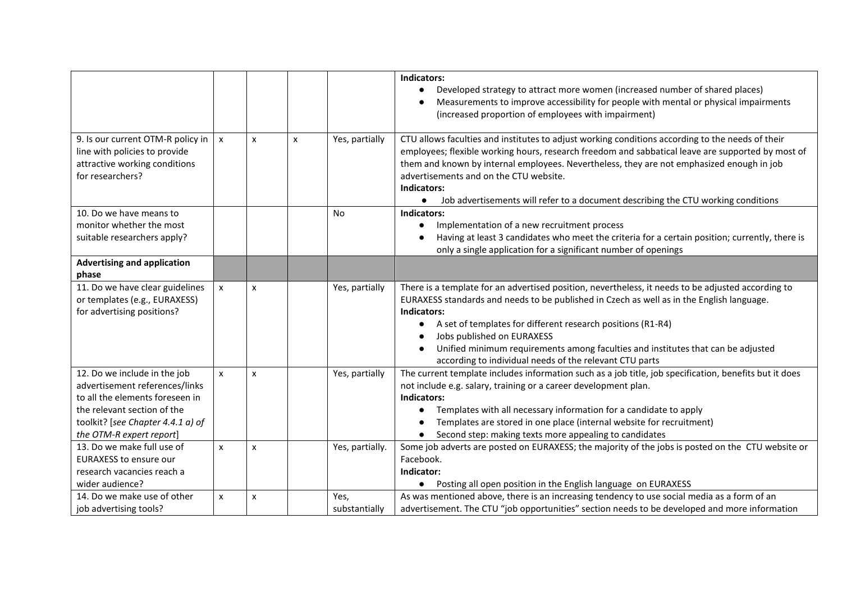|                                                                                                                         |              |                |   |                 | Indicators:<br>Developed strategy to attract more women (increased number of shared places)<br>Measurements to improve accessibility for people with mental or physical impairments<br>(increased proportion of employees with impairment)                                                                                                                                                                                                                    |
|-------------------------------------------------------------------------------------------------------------------------|--------------|----------------|---|-----------------|---------------------------------------------------------------------------------------------------------------------------------------------------------------------------------------------------------------------------------------------------------------------------------------------------------------------------------------------------------------------------------------------------------------------------------------------------------------|
| 9. Is our current OTM-R policy in<br>line with policies to provide<br>attractive working conditions<br>for researchers? | $\mathsf{x}$ | $\mathsf{x}$   | x | Yes, partially  | CTU allows faculties and institutes to adjust working conditions according to the needs of their<br>employees; flexible working hours, research freedom and sabbatical leave are supported by most of<br>them and known by internal employees. Nevertheless, they are not emphasized enough in job<br>advertisements and on the CTU website.<br>Indicators:<br>Job advertisements will refer to a document describing the CTU working conditions<br>$\bullet$ |
| 10. Do we have means to                                                                                                 |              |                |   | <b>No</b>       | Indicators:                                                                                                                                                                                                                                                                                                                                                                                                                                                   |
| monitor whether the most                                                                                                |              |                |   |                 | Implementation of a new recruitment process                                                                                                                                                                                                                                                                                                                                                                                                                   |
| suitable researchers apply?                                                                                             |              |                |   |                 | Having at least 3 candidates who meet the criteria for a certain position; currently, there is<br>only a single application for a significant number of openings                                                                                                                                                                                                                                                                                              |
| <b>Advertising and application</b>                                                                                      |              |                |   |                 |                                                                                                                                                                                                                                                                                                                                                                                                                                                               |
| phase                                                                                                                   |              |                |   |                 |                                                                                                                                                                                                                                                                                                                                                                                                                                                               |
| 11. Do we have clear guidelines<br>or templates (e.g., EURAXESS)<br>for advertising positions?                          | $\mathsf{x}$ | $\pmb{\times}$ |   | Yes, partially  | There is a template for an advertised position, nevertheless, it needs to be adjusted according to<br>EURAXESS standards and needs to be published in Czech as well as in the English language.<br>Indicators:<br>A set of templates for different research positions (R1-R4)<br>Jobs published on EURAXESS<br>Unified minimum requirements among faculties and institutes that can be adjusted<br>according to individual needs of the relevant CTU parts    |
| 12. Do we include in the job<br>advertisement references/links                                                          | X            | $\mathsf{x}$   |   | Yes, partially  | The current template includes information such as a job title, job specification, benefits but it does<br>not include e.g. salary, training or a career development plan.                                                                                                                                                                                                                                                                                     |
| to all the elements foreseen in                                                                                         |              |                |   |                 | Indicators:                                                                                                                                                                                                                                                                                                                                                                                                                                                   |
| the relevant section of the                                                                                             |              |                |   |                 | Templates with all necessary information for a candidate to apply                                                                                                                                                                                                                                                                                                                                                                                             |
| toolkit? [see Chapter 4.4.1 a) of                                                                                       |              |                |   |                 | Templates are stored in one place (internal website for recruitment)                                                                                                                                                                                                                                                                                                                                                                                          |
| the OTM-R expert report]                                                                                                |              |                |   |                 | Second step: making texts more appealing to candidates                                                                                                                                                                                                                                                                                                                                                                                                        |
| 13. Do we make full use of<br><b>EURAXESS to ensure our</b><br>research vacancies reach a                               | $\mathsf{x}$ | X              |   | Yes, partially. | Some job adverts are posted on EURAXESS; the majority of the jobs is posted on the CTU website or<br>Facebook.<br>Indicator:                                                                                                                                                                                                                                                                                                                                  |
| wider audience?                                                                                                         |              |                |   |                 | • Posting all open position in the English language on EURAXESS                                                                                                                                                                                                                                                                                                                                                                                               |
| 14. Do we make use of other                                                                                             | x            | X              |   | Yes,            | As was mentioned above, there is an increasing tendency to use social media as a form of an                                                                                                                                                                                                                                                                                                                                                                   |
| job advertising tools?                                                                                                  |              |                |   | substantially   | advertisement. The CTU "job opportunities" section needs to be developed and more information                                                                                                                                                                                                                                                                                                                                                                 |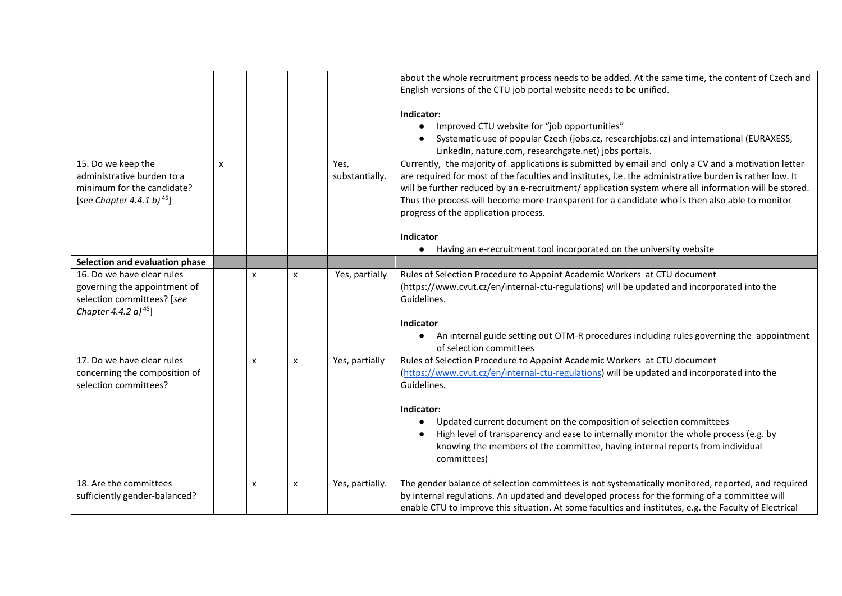|                                                                                                                              |   |                           |   |                        | about the whole recruitment process needs to be added. At the same time, the content of Czech and<br>English versions of the CTU job portal website needs to be unified.<br>Indicator:<br>Improved CTU website for "job opportunities"<br>$\bullet$<br>Systematic use of popular Czech (jobs.cz, researchjobs.cz) and international (EURAXESS,<br>LinkedIn, nature.com, researchgate.net) jobs portals.                                                                                                                                               |
|------------------------------------------------------------------------------------------------------------------------------|---|---------------------------|---|------------------------|-------------------------------------------------------------------------------------------------------------------------------------------------------------------------------------------------------------------------------------------------------------------------------------------------------------------------------------------------------------------------------------------------------------------------------------------------------------------------------------------------------------------------------------------------------|
| 15. Do we keep the<br>administrative burden to a<br>minimum for the candidate?<br>[see Chapter 4.4.1 b) <sup>45</sup> ]      | x |                           |   | Yes,<br>substantially. | Currently, the majority of applications is submitted by email and only a CV and a motivation letter<br>are required for most of the faculties and institutes, i.e. the administrative burden is rather low. It<br>will be further reduced by an e-recruitment/ application system where all information will be stored.<br>Thus the process will become more transparent for a candidate who is then also able to monitor<br>progress of the application process.<br>Indicator<br>Having an e-recruitment tool incorporated on the university website |
| Selection and evaluation phase                                                                                               |   |                           |   |                        |                                                                                                                                                                                                                                                                                                                                                                                                                                                                                                                                                       |
| 16. Do we have clear rules<br>governing the appointment of<br>selection committees? [see<br>Chapter 4.4.2 a) <sup>45</sup> ] |   | $\boldsymbol{\mathsf{x}}$ | x | Yes, partially         | Rules of Selection Procedure to Appoint Academic Workers at CTU document<br>(https://www.cvut.cz/en/internal-ctu-regulations) will be updated and incorporated into the<br>Guidelines.<br>Indicator<br>An internal guide setting out OTM-R procedures including rules governing the appointment<br>$\bullet$<br>of selection committees                                                                                                                                                                                                               |
| 17. Do we have clear rules<br>concerning the composition of<br>selection committees?                                         |   | X                         | X | Yes, partially         | Rules of Selection Procedure to Appoint Academic Workers at CTU document<br>(https://www.cvut.cz/en/internal-ctu-regulations) will be updated and incorporated into the<br>Guidelines.<br>Indicator:<br>Updated current document on the composition of selection committees<br>High level of transparency and ease to internally monitor the whole process (e.g. by<br>knowing the members of the committee, having internal reports from individual<br>committees)                                                                                   |
| 18. Are the committees<br>sufficiently gender-balanced?                                                                      |   | x                         | X | Yes, partially.        | The gender balance of selection committees is not systematically monitored, reported, and required<br>by internal regulations. An updated and developed process for the forming of a committee will<br>enable CTU to improve this situation. At some faculties and institutes, e.g. the Faculty of Electrical                                                                                                                                                                                                                                         |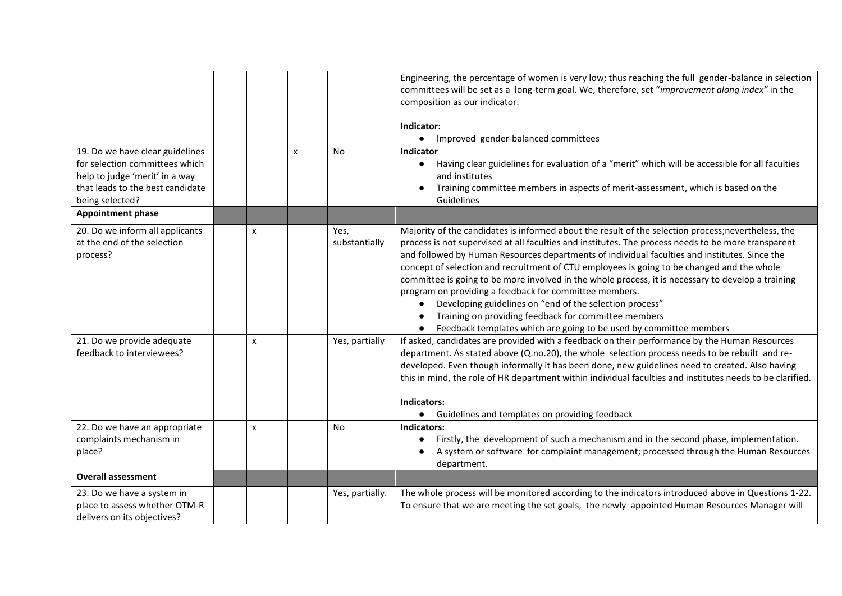|                                                                                                                                         |        |   |                                         | Engineering, the percentage of women is very low; thus reaching the full gender-balance in selection<br>committees will be set as a long-term goal. We, therefore, set "improvement along index" in the<br>composition as our indicator.<br>Indicator:<br>Improved gender-balanced committees<br>$\bullet$                                                                                                                                                                                                                                                                                                                                                                                                                                                                                                                                                                                                                                                            |
|-----------------------------------------------------------------------------------------------------------------------------------------|--------|---|-----------------------------------------|-----------------------------------------------------------------------------------------------------------------------------------------------------------------------------------------------------------------------------------------------------------------------------------------------------------------------------------------------------------------------------------------------------------------------------------------------------------------------------------------------------------------------------------------------------------------------------------------------------------------------------------------------------------------------------------------------------------------------------------------------------------------------------------------------------------------------------------------------------------------------------------------------------------------------------------------------------------------------|
| 19. Do we have clear guidelines<br>for selection committees which<br>help to judge 'merit' in a way<br>that leads to the best candidate |        | X | No                                      | Indicator<br>Having clear guidelines for evaluation of a "merit" which will be accessible for all faculties<br>$\bullet$<br>and institutes<br>Training committee members in aspects of merit-assessment, which is based on the<br>$\bullet$                                                                                                                                                                                                                                                                                                                                                                                                                                                                                                                                                                                                                                                                                                                           |
| being selected?                                                                                                                         |        |   |                                         | Guidelines                                                                                                                                                                                                                                                                                                                                                                                                                                                                                                                                                                                                                                                                                                                                                                                                                                                                                                                                                            |
| <b>Appointment phase</b>                                                                                                                |        |   |                                         |                                                                                                                                                                                                                                                                                                                                                                                                                                                                                                                                                                                                                                                                                                                                                                                                                                                                                                                                                                       |
| 20. Do we inform all applicants<br>at the end of the selection<br>process?<br>21. Do we provide adequate<br>feedback to interviewees?   | x<br>X |   | Yes,<br>substantially<br>Yes, partially | Majority of the candidates is informed about the result of the selection process; nevertheless, the<br>process is not supervised at all faculties and institutes. The process needs to be more transparent<br>and followed by Human Resources departments of individual faculties and institutes. Since the<br>concept of selection and recruitment of CTU employees is going to be changed and the whole<br>committee is going to be more involved in the whole process, it is necessary to develop a training<br>program on providing a feedback for committee members.<br>Developing guidelines on "end of the selection process"<br>Training on providing feedback for committee members<br>Feedback templates which are going to be used by committee members<br>If asked, candidates are provided with a feedback on their performance by the Human Resources<br>department. As stated above (Q.no.20), the whole selection process needs to be rebuilt and re- |
|                                                                                                                                         |        |   |                                         | developed. Even though informally it has been done, new guidelines need to created. Also having<br>this in mind, the role of HR department within individual faculties and institutes needs to be clarified.<br>Indicators:<br>Guidelines and templates on providing feedback<br>$\bullet$                                                                                                                                                                                                                                                                                                                                                                                                                                                                                                                                                                                                                                                                            |
| 22. Do we have an appropriate<br>complaints mechanism in                                                                                | X      |   | <b>No</b>                               | Indicators:<br>Firstly, the development of such a mechanism and in the second phase, implementation.<br>$\bullet$                                                                                                                                                                                                                                                                                                                                                                                                                                                                                                                                                                                                                                                                                                                                                                                                                                                     |
| place?                                                                                                                                  |        |   |                                         | A system or software for complaint management; processed through the Human Resources<br>department.                                                                                                                                                                                                                                                                                                                                                                                                                                                                                                                                                                                                                                                                                                                                                                                                                                                                   |
| <b>Overall assessment</b>                                                                                                               |        |   |                                         |                                                                                                                                                                                                                                                                                                                                                                                                                                                                                                                                                                                                                                                                                                                                                                                                                                                                                                                                                                       |
| 23. Do we have a system in<br>place to assess whether OTM-R<br>delivers on its objectives?                                              |        |   | Yes, partially.                         | The whole process will be monitored according to the indicators introduced above in Questions 1-22.<br>To ensure that we are meeting the set goals, the newly appointed Human Resources Manager will                                                                                                                                                                                                                                                                                                                                                                                                                                                                                                                                                                                                                                                                                                                                                                  |